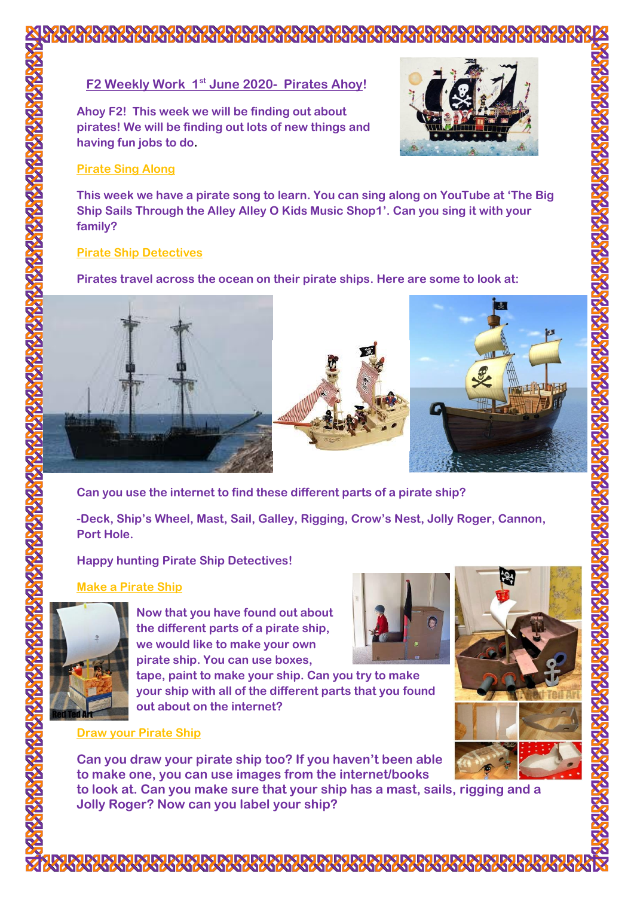# **F2 Weekly Work 1st June 2020- Pirates Ahoy!**

**Ahoy F2! This week we will be finding out about pirates! We will be finding out lots of new things and having fun jobs to do.**



# **Pirate Sing Along**

**This week we have a pirate song to learn. You can sing along on YouTube at 'The Big Ship Sails Through the Alley Alley O Kids Music Shop1'. Can you sing it with your family?**

## **Pirate Ship Detectives**

**Pirates travel across the ocean on their pirate ships. Here are some to look at:**





**Can you use the internet to find these different parts of a pirate ship?** 

**-Deck, Ship's Wheel, Mast, Sail, Galley, Rigging, Crow's Nest, Jolly Roger, Cannon, Port Hole.**

# **Happy hunting Pirate Ship Detectives!**

# **Make a Pirate Ship**



**Now that you have found out about the different parts of a pirate ship, we would like to make your own pirate ship. You can use boxes,** 

**tape, paint to make your ship. Can you try to make your ship with all of the different parts that you found out about on the internet?**

## **Draw your Pirate Ship**

**Can you draw your pirate ship too? If you haven't been able to make one, you can use images from the internet/books to look at. Can you make sure that your ship has a mast, sails, rigging and a Jolly Roger? Now can you label your ship?**